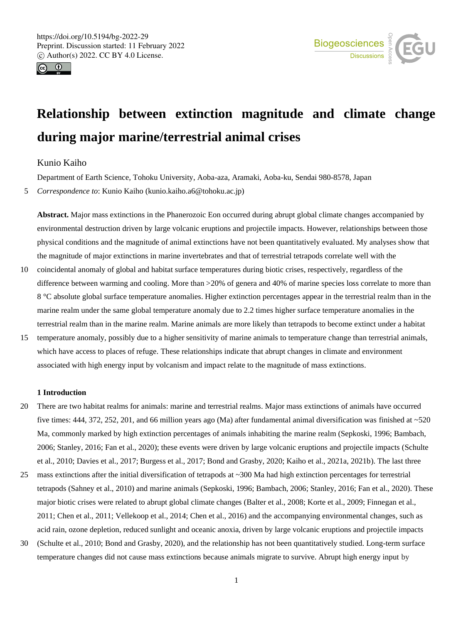



# **Relationship between extinction magnitude and climate change during major marine/terrestrial animal crises**

# Kunio Kaiho

Department of Earth Science, Tohoku University, Aoba-aza, Aramaki, Aoba-ku, Sendai 980-8578, Japan

5 *Correspondence to*: Kunio Kaiho (kunio.kaiho.a6@tohoku.ac.jp)

**Abstract.** Major mass extinctions in the Phanerozoic Eon occurred during abrupt global climate changes accompanied by environmental destruction driven by large volcanic eruptions and projectile impacts. However, relationships between those physical conditions and the magnitude of animal extinctions have not been quantitatively evaluated. My analyses show that the magnitude of major extinctions in marine invertebrates and that of terrestrial tetrapods correlate well with the

- 10 coincidental anomaly of global and habitat surface temperatures during biotic crises, respectively, regardless of the difference between warming and cooling. More than  $>20\%$  of genera and 40% of marine species loss correlate to more than 8 °C absolute global surface temperature anomalies. Higher extinction percentages appear in the terrestrial realm than in the marine realm under the same global temperature anomaly due to 2.2 times higher surface temperature anomalies in the terrestrial realm than in the marine realm. Marine animals are more likely than tetrapods to become extinct under a habitat
- 15 temperature anomaly, possibly due to a higher sensitivity of marine animals to temperature change than terrestrial animals, which have access to places of refuge. These relationships indicate that abrupt changes in climate and environment associated with high energy input by volcanism and impact relate to the magnitude of mass extinctions.

## **1 Introduction**

- 20 There are two habitat realms for animals: marine and terrestrial realms. Major mass extinctions of animals have occurred five times: 444, 372, 252, 201, and 66 million years ago (Ma) after fundamental animal diversification was finished at ~520 Ma, commonly marked by high extinction percentages of animals inhabiting the marine realm (Sepkoski, 1996; Bambach, 2006; Stanley, 2016; Fan et al., 2020); these events were driven by large volcanic eruptions and projectile impacts (Schulte et al., 2010; Davies et al., 2017; Burgess et al., 2017; Bond and Grasby, 2020; Kaiho et al., 2021a, 2021b). The last three
- 25 mass extinctions after the initial diversification of tetrapods at  $\sim$  300 Ma had high extinction percentages for terrestrial tetrapods (Sahney et al., 2010) and marine animals (Sepkoski, 1996; Bambach, 2006; Stanley, 2016; Fan et al., 2020). These major biotic crises were related to abrupt global climate changes (Balter et al., 2008; Korte et al., 2009; Finnegan et al., 2011; Chen et al., 2011; Vellekoop et al., 2014; Chen et al., 2016) and the accompanying environmental changes, such as acid rain, ozone depletion, reduced sunlight and oceanic anoxia, driven by large volcanic eruptions and projectile impacts
- 30 (Schulte et al., 2010; Bond and Grasby, 2020), and the relationship has not been quantitatively studied. Long-term surface temperature changes did not cause mass extinctions because animals migrate to survive. Abrupt high energy input by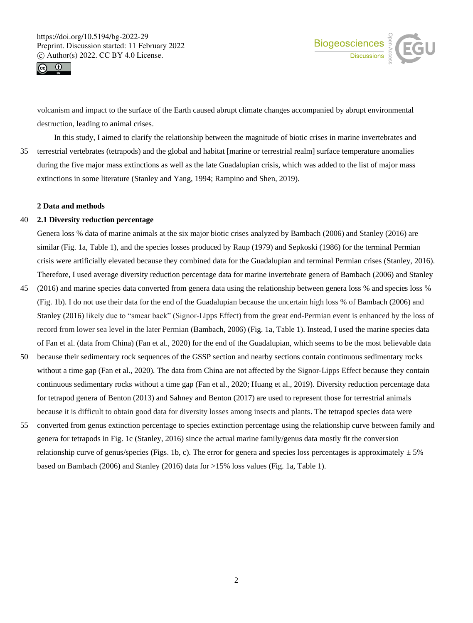



volcanism and impact to the surface of the Earth caused abrupt climate changes accompanied by abrupt environmental destruction, leading to animal crises.

In this study, I aimed to clarify the relationship between the magnitude of biotic crises in marine invertebrates and 35 terrestrial vertebrates (tetrapods) and the global and habitat [marine or terrestrial realm] surface temperature anomalies during the five major mass extinctions as well as the late Guadalupian crisis, which was added to the list of major mass extinctions in some literature (Stanley and Yang, 1994; Rampino and Shen, 2019).

#### **2 Data and methods**

#### 40 **2.1 Diversity reduction percentage**

Genera loss % data of marine animals at the six major biotic crises analyzed by Bambach (2006) and Stanley (2016) are similar (Fig. 1a, Table 1), and the species losses produced by Raup (1979) and Sepkoski (1986) for the terminal Permian crisis were artificially elevated because they combined data for the Guadalupian and terminal Permian crises (Stanley, 2016). Therefore, I used average diversity reduction percentage data for marine invertebrate genera of Bambach (2006) and Stanley

- 45 (2016) and marine species data converted from genera data using the relationship between genera loss % and species loss % (Fig. 1b). I do not use their data for the end of the Guadalupian because the uncertain high loss % of Bambach (2006) and Stanley (2016) likely due to "smear back" (Signor-Lipps Effect) from the great end-Permian event is enhanced by the loss of record from lower sea level in the later Permian (Bambach, 2006) (Fig. 1a, Table 1). Instead, I used the marine species data of Fan et al. (data from China) (Fan et al., 2020) for the end of the Guadalupian, which seems to be the most believable data
- 50 because their sedimentary rock sequences of the GSSP section and nearby sections contain continuous sedimentary rocks without a time gap (Fan et al., 2020). The data from China are not affected by the Signor-Lipps Effect because they contain continuous sedimentary rocks without a time gap (Fan et al., 2020; Huang et al., 2019). Diversity reduction percentage data for tetrapod genera of Benton (2013) and Sahney and Benton (2017) are used to represent those for terrestrial animals because it is difficult to obtain good data for diversity losses among insects and plants. The tetrapod species data were
- 55 converted from genus extinction percentage to species extinction percentage using the relationship curve between family and genera for tetrapods in Fig. 1c (Stanley, 2016) since the actual marine family/genus data mostly fit the conversion relationship curve of genus/species (Figs. 1b, c). The error for genera and species loss percentages is approximately  $\pm$  5% based on Bambach (2006) and Stanley (2016) data for >15% loss values (Fig. 1a, Table 1).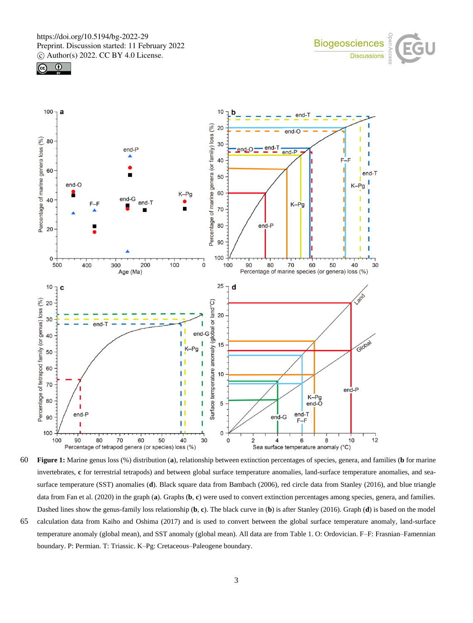





60 **Figure 1:** Marine genus loss (%) distribution (**a**), relationship between extinction percentages of species, genera, and families (**b** for marine invertebrates, **c** for terrestrial tetrapods) and between global surface temperature anomalies, land-surface temperature anomalies, and seasurface temperature (SST) anomalies (**d**). Black square data from Bambach (2006), red circle data from Stanley (2016), and blue triangle data from Fan et al. (2020) in the graph (**a**). Graphs (**b**, **c**) were used to convert extinction percentages among species, genera, and families. Dashed lines show the genus-family loss relationship (**b**, **c**). The black curve in (**b**) is after Stanley (2016). Graph (**d**) is based on the model

65 calculation data from Kaiho and Oshima (2017) and is used to convert between the global surface temperature anomaly, land-surface temperature anomaly (global mean), and SST anomaly (global mean). All data are from Table 1. O: Ordovician. F–F: Frasnian–Famennian boundary. P: Permian. T: Triassic. K–Pg: Cretaceous–Paleogene boundary.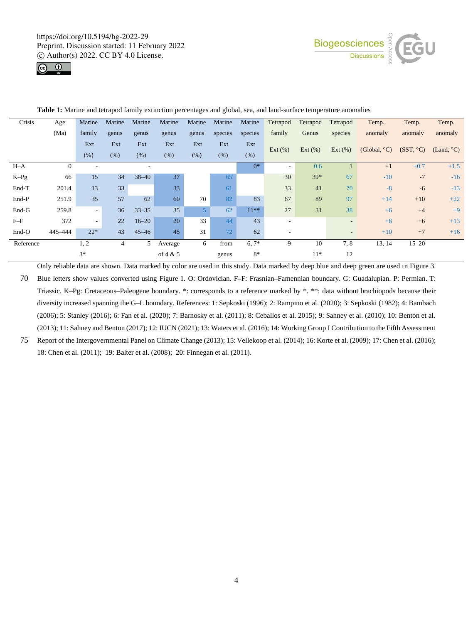



| Crisis    | Age      | Marine | Marine | Marine    | Marine     | Marine         | Marine  | Marine  | Tetrapod                 | Tetrapod   | Tetrapod                 | Temp.                  | Temp.     | Temp.      |
|-----------|----------|--------|--------|-----------|------------|----------------|---------|---------|--------------------------|------------|--------------------------|------------------------|-----------|------------|
|           | (Ma)     | family | genus  | genus     | genus      | genus          | species | species | family                   | Genus      | species                  | anomaly                | anomaly   | anomaly    |
|           |          | Ext    | Ext    | Ext       | Ext        | Ext            | Ext     | Ext     |                          |            |                          |                        |           |            |
|           |          | (% )   | (% )   | (% )      | (% )       | (%)            | (% )    | (% )    | Ext(%)                   | Ext $(\%)$ | Ext $(\%)$               | (Global, $^{\circ}$ C) | (SST, °C) | (Land, °C) |
| $H-A$     | $\theta$ | ٠      |        |           |            |                |         | $0^*$   | ٠                        | 0.6        |                          | $+1$                   | $+0.7$    | $+1.5$     |
| $K-Pg$    | 66       | 15     | 34     | $38 - 40$ | 37         |                | 65      |         | 30                       | $39*$      | 67                       | $-10$                  | $-7$      | $-16$      |
| End-T     | 201.4    | 13     | 33     |           | 33         |                | 61      |         | 33                       | 41         | 70                       | $-8$                   | $-6$      | $-13$      |
| End-P     | 251.9    | 35     | 57     | 62        | 60         | 70             | 82      | 83      | 67                       | 89         | 97                       | $+14$                  | $+10$     | $+22$      |
| End-G     | 259.8    | $\sim$ | 36     | $33 - 35$ | 35         | 5 <sup>1</sup> | 62      | $11***$ | 27                       | 31         | 38                       | $+6$                   | $+4$      | $+9$       |
| $F-F$     | 372      | $\sim$ | 22     | $16 - 20$ | 20         | 33             | 44      | 43      | $\sim$                   |            | $\overline{\phantom{a}}$ | $+8$                   | $+6$      | $+13$      |
| End-O     | 445-444  | $22*$  | 43     | $45 - 46$ | 45         | 31             | 72      | 62      | $\overline{\phantom{a}}$ |            | $\qquad \qquad$          | $+10$                  | $+7$      | $+16$      |
| Reference |          | 1, 2   | 4      | 5         | Average    | 6              | from    | $6,7*$  | 9                        | 10         | 7,8                      | 13, 14                 | $15 - 20$ |            |
|           |          | $3*$   |        |           | of $4 & 5$ |                | genus   | $8*$    |                          | $11*$      | 12                       |                        |           |            |

**Table 1:** Marine and tetrapod family extinction percentages and global, sea, and land-surface temperature anomalies

Only reliable data are shown. Data marked by color are used in this study. Data marked by deep blue and deep green are used in Figure 3. 70 Blue letters show values converted using Figure 1. O: Ordovician. F**–**F: Frasnian**–**Famennian boundary. G: Guadalupian. P: Permian. T: Triassic. K**–**Pg: Cretaceous**–**Paleogene boundary. \*: corresponds to a reference marked by \*. \*\*: data without brachiopods because their diversity increased spanning the G**–**L boundary. References: 1: Sepkoski (1996); 2: Rampino et al. (2020); 3: Sepkoski (1982); 4: Bambach (2006); 5: Stanley (2016); 6: Fan et al. (2020); 7: Barnosky et al. (2011); 8: Ceballos et al. 2015); 9: Sahney et al. (2010); 10: Benton et al. (2013); 11: Sahney and Benton (2017); 12: IUCN (2021); 13: Waters et al. (2016); 14: Working Group I Contribution to the Fifth Assessment

75 Report of the Intergovernmental Panel on Climate Change (2013); 15: Vellekoop et al. (2014); 16: Korte et al. (2009); 17: Chen et al. (2016); 18: Chen et al. (2011); 19: Balter et al. (2008); 20: Finnegan et al. (2011).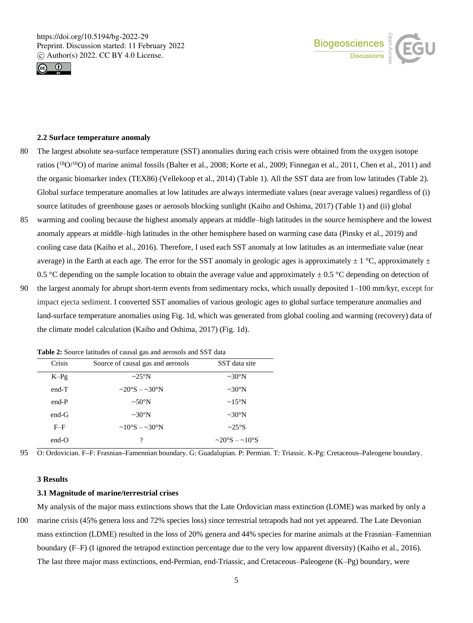



#### **2.2 Surface temperature anomaly**

- 80 The largest absolute sea-surface temperature (SST) anomalies during each crisis were obtained from the oxygen isotope ratios (<sup>18</sup>O/<sup>16</sup>O) of marine animal fossils (Balter et al., 2008; Korte et al., 2009; Finnegan et al., 2011, Chen et al., 2011) and the organic biomarker index (TEX86) (Vellekoop et al., 2014) (Table 1). All the SST data are from low latitudes (Table 2). Global surface temperature anomalies at low latitudes are always intermediate values (near average values) regardless of (i) source latitudes of greenhouse gases or aerosols blocking sunlight (Kaiho and Oshima, 2017) (Table 1) and (ii) global
- 85 warming and cooling because the highest anomaly appears at middle–high latitudes in the source hemisphere and the lowest anomaly appears at middle–high latitudes in the other hemisphere based on warming case data (Pinsky et al., 2019) and cooling case data (Kaiho et al., 2016). Therefore, I used each SST anomaly at low latitudes as an intermediate value (near average) in the Earth at each age. The error for the SST anomaly in geologic ages is approximately  $\pm$  1 °C, approximately  $\pm$ 0.5 °C depending on the sample location to obtain the average value and approximately  $\pm$  0.5 °C depending on detection of
- 90 the largest anomaly for abrupt short-term events from sedimentary rocks, which usually deposited 1–100 mm/kyr, except for impact ejecta sediment. I converted SST anomalies of various geologic ages to global surface temperature anomalies and land-surface temperature anomalies using Fig. 1d, which was generated from global cooling and warming (recovery) data of the climate model calculation (Kaiho and Oshima, 2017) (Fig. 1d).

| $\frac{1}{2}$ and $\frac{1}{2}$ is pointed intrinsical of causal gas and acrossess and bo I data |                                           |                       |  |  |  |  |  |  |
|--------------------------------------------------------------------------------------------------|-------------------------------------------|-----------------------|--|--|--|--|--|--|
| Crisis                                                                                           | Source of causal gas and aerosols         | SST data site         |  |  |  |  |  |  |
| $K-Pg$                                                                                           | $\sim$ 25°N                               | $\sim 30^\circ N$     |  |  |  |  |  |  |
| $end-T$                                                                                          | $\sim$ 20°S – $\sim$ 30°N                 | $\sim 30^\circ N$     |  |  |  |  |  |  |
| $end-P$                                                                                          | $\sim 50^{\circ}$ N                       | $\sim 15^{\circ}$ N   |  |  |  |  |  |  |
| end-G                                                                                            | $\sim 30^\circ N$                         | $\sim 30^\circ N$     |  |  |  |  |  |  |
| $F-F$                                                                                            | $\sim 10^{\circ}$ S $- \sim 30^{\circ}$ N | $\sim$ 25°S           |  |  |  |  |  |  |
| $end-O$                                                                                          | ?                                         | $\sim$ 20°S $-$ ~10°S |  |  |  |  |  |  |

**Table 2:** Source latitudes of causal gas and aerosols and SST data

95 O: Ordovician. F**–**F: Frasnian**–**Famennian boundary. G: Guadalupian. P: Permian. T: Triassic. K-Pg: Cretaceous**–**Paleogene boundary.

#### **3 Results**

#### **3.1 Magnitude of marine/terrestrial crises**

My analysis of the major mass extinctions shows that the Late Ordovician mass extinction (LOME) was marked by only a 100 marine crisis (45% genera loss and 72% species loss) since terrestrial tetrapods had not yet appeared. The Late Devonian mass extinction (LDME) resulted in the loss of 20% genera and 44% species for marine animals at the Frasnian–Famennian boundary (F–F) (I ignored the tetrapod extinction percentage due to the very low apparent diversity) (Kaiho et al., 2016). The last three major mass extinctions, end-Permian, end-Triassic, and Cretaceous–Paleogene (K–Pg) boundary, were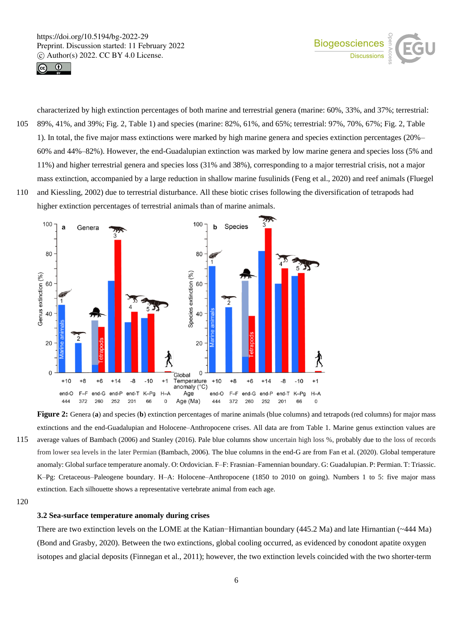



105 89%, 41%, and 39%; Fig. 2, Table 1) and species (marine: 82%, 61%, and 65%; terrestrial: 97%, 70%, 67%; Fig. 2, Table 1). In total, the five major mass extinctions were marked by high marine genera and species extinction percentages (20%– 60% and 44%–82%). However, the end-Guadalupian extinction was marked by low marine genera and species loss (5% and 11%) and higher terrestrial genera and species loss (31% and 38%), corresponding to a major terrestrial crisis, not a major mass extinction, accompanied by a large reduction in shallow marine fusulinids (Feng et al., 2020) and reef animals (Fluegel

characterized by high extinction percentages of both marine and terrestrial genera (marine: 60%, 33%, and 37%; terrestrial:

110 and Kiessling, 2002) due to terrestrial disturbance. All these biotic crises following the diversification of tetrapods had higher extinction percentages of terrestrial animals than of marine animals.



**Figure 2:** Genera (**a**) and species (**b**) extinction percentages of marine animals (blue columns) and tetrapods (red columns) for major mass extinctions and the end-Guadalupian and Holocene–Anthropocene crises. All data are from Table 1. Marine genus extinction values are 115 average values of Bambach (2006) and Stanley (2016). Pale blue columns show uncertain high loss %, probably due to the loss of records from lower sea levels in the later Permian (Bambach, 2006). The blue columns in the end-G are from Fan et al. (2020). Global temperature anomaly: Global surface temperature anomaly. O: Ordovician. F–F: Frasnian–Famennian boundary. G: Guadalupian. P: Permian. T: Triassic. K–Pg: Cretaceous–Paleogene boundary. H–A: Holocene–Anthropocene (1850 to 2010 on going). Numbers 1 to 5: five major mass extinction. Each silhouette shows a representative vertebrate animal from each age.

120

## **3.2 Sea-surface temperature anomaly during crises**

There are two extinction levels on the LOME at the Katian−Hirnantian boundary (445.2 Ma) and late Hirnantian (~444 Ma) (Bond and Grasby, 2020). Between the two extinctions, global cooling occurred, as evidenced by conodont apatite oxygen isotopes and glacial deposits (Finnegan et al., 2011); however, the two extinction levels coincided with the two shorter-term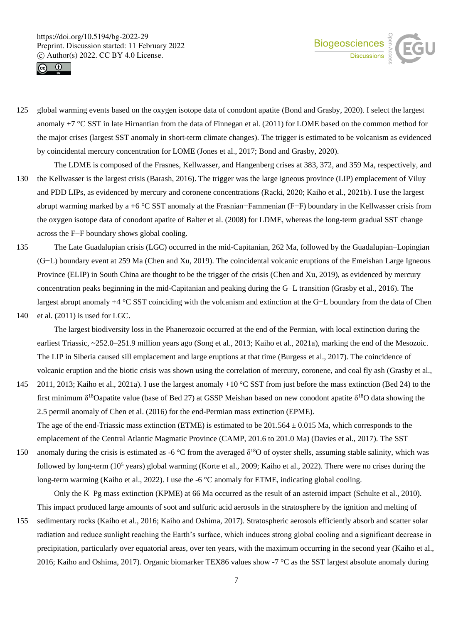



- 125 global warming events based on the oxygen isotope data of conodont apatite (Bond and Grasby, 2020). I select the largest anomaly +7 °C SST in late Hirnantian from the data of Finnegan et al. (2011) for LOME based on the common method for the major crises (largest SST anomaly in short-term climate changes). The trigger is estimated to be volcanism as evidenced by coincidental mercury concentration for LOME (Jones et al., 2017; Bond and Grasby, 2020).
- The LDME is composed of the Frasnes, Kellwasser, and Hangenberg crises at 383, 372, and 359 Ma, respectively, and 130 the Kellwasser is the largest crisis (Barash, 2016). The trigger was the large igneous province (LIP) emplacement of Viluy and PDD LIPs, as evidenced by mercury and coronene concentrations (Racki, 2020; Kaiho et al., 2021b). I use the largest abrupt warming marked by a +6 °C SST anomaly at the Frasnian−Fammenian (F−F) boundary in the Kellwasser crisis from the oxygen isotope data of conodont apatite of Balter et al. (2008) for LDME, whereas the long-term gradual SST change across the F−F boundary shows global cooling.
- 135 The Late Guadalupian crisis (LGC) occurred in the mid-Capitanian, 262 Ma, followed by the Guadalupian–Lopingian (G−L) boundary event at 259 Ma (Chen and Xu, 2019). The coincidental volcanic eruptions of the Emeishan Large Igneous Province (ELIP) in South China are thought to be the trigger of the crisis (Chen and Xu, 2019), as evidenced by mercury concentration peaks beginning in the mid-Capitanian and peaking during the G−L transition (Grasby et al., 2016). The largest abrupt anomaly +4 °C SST coinciding with the volcanism and extinction at the G−L boundary from the data of Chen
- 140 et al. (2011) is used for LGC.

The largest biodiversity loss in the Phanerozoic occurred at the end of the Permian, with local extinction during the earliest Triassic, ~252.0–251.9 million years ago (Song et al., 2013; Kaiho et al., 2021a), marking the end of the Mesozoic. The LIP in Siberia caused sill emplacement and large eruptions at that time (Burgess et al., 2017). The coincidence of volcanic eruption and the biotic crisis was shown using the correlation of mercury, coronene, and coal fly ash (Grasby et al.,

145 2011, 2013; Kaiho et al., 2021a). I use the largest anomaly +10 °C SST from just before the mass extinction (Bed 24) to the first minimum  $\delta^{18}$ Oapatite value (base of Bed 27) at GSSP Meishan based on new conodont apatite  $\delta^{18}$ O data showing the 2.5 permil anomaly of Chen et al. (2016) for the end-Permian mass extinction (EPME). The age of the end-Triassic mass extinction (ETME) is estimated to be  $201.564 \pm 0.015$  Ma, which corresponds to the

emplacement of the Central Atlantic Magmatic Province (CAMP, 201.6 to 201.0 Ma) (Davies et al., 2017). The SST

150 anomaly during the crisis is estimated as -6 °C from the averaged  $\delta^{18}$ O of oyster shells, assuming stable salinity, which was followed by long-term  $(10^5 \text{ years})$  global warming (Korte et al., 2009; Kaiho et al., 2022). There were no crises during the long-term warming (Kaiho et al., 2022). I use the -6 °C anomaly for ETME, indicating global cooling.

Only the K–Pg mass extinction (KPME) at 66 Ma occurred as the result of an asteroid impact (Schulte et al., 2010). This impact produced large amounts of soot and sulfuric acid aerosols in the stratosphere by the ignition and melting of

155 sedimentary rocks (Kaiho et al., 2016; Kaiho and Oshima, 2017). Stratospheric aerosols efficiently absorb and scatter solar radiation and reduce sunlight reaching the Earth's surface, which induces strong global cooling and a significant decrease in precipitation, particularly over equatorial areas, over ten years, with the maximum occurring in the second year (Kaiho et al., 2016; Kaiho and Oshima, 2017). Organic biomarker TEX86 values show -7 °C as the SST largest absolute anomaly during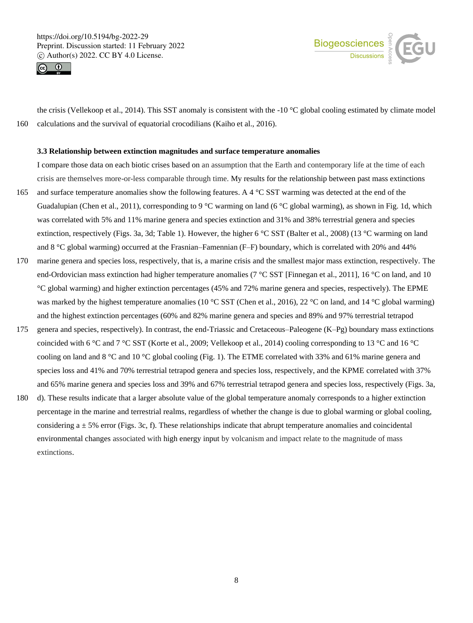



the crisis (Vellekoop et al., 2014). This SST anomaly is consistent with the -10  $^{\circ}$ C global cooling estimated by climate model 160 calculations and the survival of equatorial crocodilians (Kaiho et al., 2016).

#### **3.3 Relationship between extinction magnitudes and surface temperature anomalies**

I compare those data on each biotic crises based on an assumption that the Earth and contemporary life at the time of each crisis are themselves more-or-less comparable through time. My results for the relationship between past mass extinctions 165 and surface temperature anomalies show the following features. A 4 °C SST warming was detected at the end of the Guadalupian (Chen et al., 2011), corresponding to 9 °C warming on land (6 °C global warming), as shown in Fig. 1d, which was correlated with 5% and 11% marine genera and species extinction and 31% and 38% terrestrial genera and species extinction, respectively (Figs. 3a, 3d; Table 1). However, the higher 6 °C SST (Balter et al., 2008) (13 °C warming on land and 8 °C global warming) occurred at the Frasnian–Famennian (F–F) boundary, which is correlated with 20% and 44%

- 170 marine genera and species loss, respectively, that is, a marine crisis and the smallest major mass extinction, respectively. The end-Ordovician mass extinction had higher temperature anomalies (7 °C SST [Finnegan et al., 2011], 16 °C on land, and 10 °C global warming) and higher extinction percentages (45% and 72% marine genera and species, respectively). The EPME was marked by the highest temperature anomalies (10 °C SST (Chen et al., 2016), 22 °C on land, and 14 °C global warming) and the highest extinction percentages (60% and 82% marine genera and species and 89% and 97% terrestrial tetrapod
- 175 genera and species, respectively). In contrast, the end-Triassic and Cretaceous–Paleogene (K–Pg) boundary mass extinctions coincided with 6 °C and 7 °C SST (Korte et al., 2009; Vellekoop et al., 2014) cooling corresponding to 13 °C and 16 °C cooling on land and 8 °C and 10 °C global cooling (Fig. 1). The ETME correlated with 33% and 61% marine genera and species loss and 41% and 70% terrestrial tetrapod genera and species loss, respectively, and the KPME correlated with 37% and 65% marine genera and species loss and 39% and 67% terrestrial tetrapod genera and species loss, respectively (Figs. 3a,
- 180 d). These results indicate that a larger absolute value of the global temperature anomaly corresponds to a higher extinction percentage in the marine and terrestrial realms, regardless of whether the change is due to global warming or global cooling, considering  $a \pm 5\%$  error (Figs. 3c, f). These relationships indicate that abrupt temperature anomalies and coincidental environmental changes associated with high energy input by volcanism and impact relate to the magnitude of mass extinctions.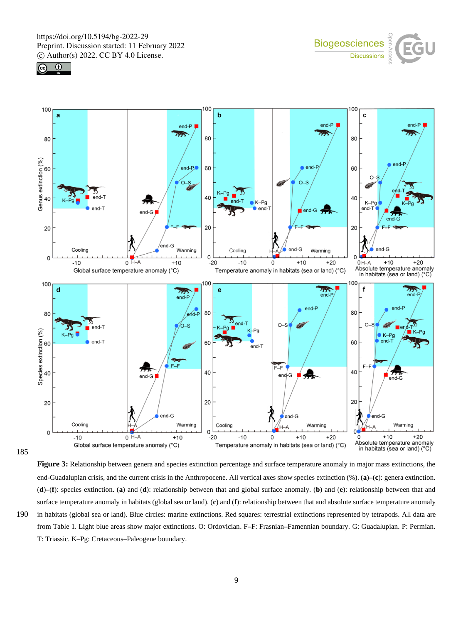





185

**Figure 3:** Relationship between genera and species extinction percentage and surface temperature anomaly in major mass extinctions, the end-Guadalupian crisis, and the current crisis in the Anthropocene. All vertical axes show species extinction (%). (**a**)**–**(**c**): genera extinction. (**d**)**–**(**f**): species extinction. (**a**) and (**d**): relationship between that and global surface anomaly. (**b**) and (**e**): relationship between that and surface temperature anomaly in habitats (global sea or land). (**c**) and (**f**): relationship between that and absolute surface temperature anomaly 190 in habitats (global sea or land). Blue circles: marine extinctions. Red squares: terrestrial extinctions represented by tetrapods. All data are from Table 1. Light blue areas show major extinctions. O: Ordovician. F**–**F: Frasnian**–**Famennian boundary. G: Guadalupian. P: Permian. T: Triassic. K**–**Pg: Cretaceous**–**Paleogene boundary.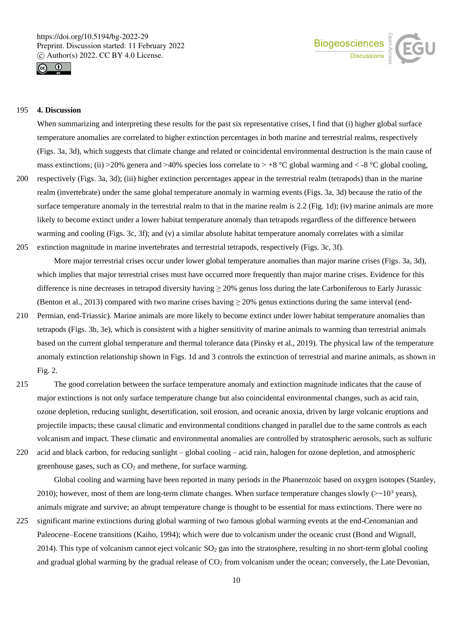



## 195 **4. Discussion**

When summarizing and interpreting these results for the past six representative crises, I find that (i) higher global surface temperature anomalies are correlated to higher extinction percentages in both marine and terrestrial realms, respectively (Figs. 3a, 3d), which suggests that climate change and related or coincidental environmental destruction is the main cause of mass extinctions; (ii) >20% genera and >40% species loss correlate to > +8 °C global warming and < -8 °C global cooling,

- 200 respectively (Figs. 3a, 3d); (iii) higher extinction percentages appear in the terrestrial realm (tetrapods) than in the marine realm (invertebrate) under the same global temperature anomaly in warming events (Figs. 3a, 3d) because the ratio of the surface temperature anomaly in the terrestrial realm to that in the marine realm is 2.2 (Fig. 1d); (iv) marine animals are more likely to become extinct under a lower habitat temperature anomaly than tetrapods regardless of the difference between warming and cooling (Figs. 3c, 3f); and (v) a similar absolute habitat temperature anomaly correlates with a similar
- 205 extinction magnitude in marine invertebrates and terrestrial tetrapods, respectively (Figs. 3c, 3f).

More major terrestrial crises occur under lower global temperature anomalies than major marine crises (Figs. 3a, 3d), which implies that major terrestrial crises must have occurred more frequently than major marine crises. Evidence for this difference is nine decreases in tetrapod diversity having ≥ 20% genus loss during the late Carboniferous to Early Jurassic (Benton et al., 2013) compared with two marine crises having  $\geq$  20% genus extinctions during the same interval (end-

- 210 Permian, end-Triassic). Marine animals are more likely to become extinct under lower habitat temperature anomalies than tetrapods (Figs. 3b, 3e), which is consistent with a higher sensitivity of marine animals to warming than terrestrial animals based on the current global temperature and thermal tolerance data (Pinsky et al., 2019). The physical law of the temperature anomaly extinction relationship shown in Figs. 1d and 3 controls the extinction of terrestrial and marine animals, as shown in Fig. 2.
- 215 The good correlation between the surface temperature anomaly and extinction magnitude indicates that the cause of major extinctions is not only surface temperature change but also coincidental environmental changes, such as acid rain, ozone depletion, reducing sunlight, desertification, soil erosion, and oceanic anoxia, driven by large volcanic eruptions and projectile impacts; these causal climatic and environmental conditions changed in parallel due to the same controls as each volcanism and impact. These climatic and environmental anomalies are controlled by stratospheric aerosols, such as sulfuric
- 220 acid and black carbon, for reducing sunlight global cooling acid rain, halogen for ozone depletion, and atmospheric

greenhouse gases, such as  $CO<sub>2</sub>$  and methene, for surface warming.

Global cooling and warming have been reported in many periods in the Phanerozoic based on oxygen isotopes (Stanley, 2010); however, most of them are long-term climate changes. When surface temperature changes slowly ( $>10^3$  years), animals migrate and survive; an abrupt temperature change is thought to be essential for mass extinctions. There were no

225 significant marine extinctions during global warming of two famous global warming events at the end-Cenomanian and Paleocene–Eocene transitions (Kaiho, 1994); which were due to volcanism under the oceanic crust (Bond and Wignall, 2014). This type of volcanism cannot eject volcanic  $SO<sub>2</sub>$  gas into the stratosphere, resulting in no short-term global cooling and gradual global warming by the gradual release of  $CO<sub>2</sub>$  from volcanism under the ocean; conversely, the Late Devonian,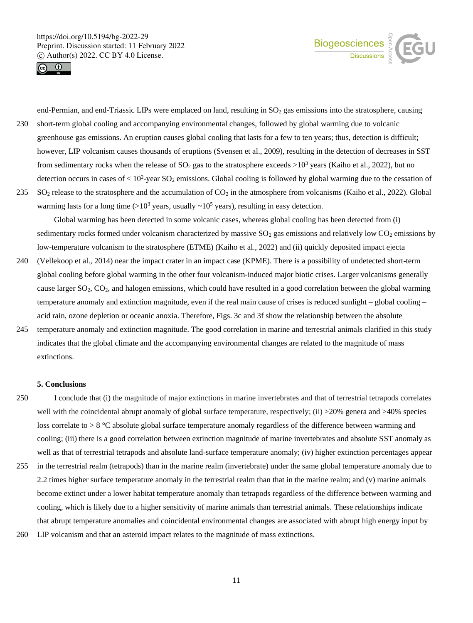



end-Permian, and end-Triassic LIPs were emplaced on land, resulting in  $SO<sub>2</sub>$  gas emissions into the stratosphere, causing 230 short-term global cooling and accompanying environmental changes, followed by global warming due to volcanic greenhouse gas emissions. An eruption causes global cooling that lasts for a few to ten years; thus, detection is difficult; however, LIP volcanism causes thousands of eruptions (Svensen et al., 2009), resulting in the detection of decreases in SST from sedimentary rocks when the release of  $SO_2$  gas to the stratosphere exceeds  $>10^3$  years (Kaiho et al., 2022), but no detection occurs in cases of  $< 10<sup>2</sup>$ -year SO<sub>2</sub> emissions. Global cooling is followed by global warming due to the cessation of

235 SO<sup>2</sup> release to the stratosphere and the accumulation of CO<sup>2</sup> in the atmosphere from volcanisms (Kaiho et al., 2022). Global warming lasts for a long time  $(>10^3$  years, usually  $\sim 10^5$  years), resulting in easy detection.

Global warming has been detected in some volcanic cases, whereas global cooling has been detected from (i) sedimentary rocks formed under volcanism characterized by massive  $SO<sub>2</sub>$  gas emissions and relatively low  $CO<sub>2</sub>$  emissions by low-temperature volcanism to the stratosphere (ETME) (Kaiho et al., 2022) and (ii) quickly deposited impact ejecta

- 240 (Vellekoop et al., 2014) near the impact crater in an impact case (KPME). There is a possibility of undetected short-term global cooling before global warming in the other four volcanism-induced major biotic crises. Larger volcanisms generally cause larger SO2, CO2, and halogen emissions, which could have resulted in a good correlation between the global warming temperature anomaly and extinction magnitude, even if the real main cause of crises is reduced sunlight – global cooling – acid rain, ozone depletion or oceanic anoxia. Therefore, Figs. 3c and 3f show the relationship between the absolute
- 245 temperature anomaly and extinction magnitude. The good correlation in marine and terrestrial animals clarified in this study indicates that the global climate and the accompanying environmental changes are related to the magnitude of mass extinctions.

#### **5. Conclusions**

- 250 I conclude that (i) the magnitude of major extinctions in marine invertebrates and that of terrestrial tetrapods correlates well with the coincidental abrupt anomaly of global surface temperature, respectively; (ii) >20% genera and >40% species loss correlate to > 8 °C absolute global surface temperature anomaly regardless of the difference between warming and cooling; (iii) there is a good correlation between extinction magnitude of marine invertebrates and absolute SST anomaly as well as that of terrestrial tetrapods and absolute land-surface temperature anomaly; (iv) higher extinction percentages appear
- 255 in the terrestrial realm (tetrapods) than in the marine realm (invertebrate) under the same global temperature anomaly due to 2.2 times higher surface temperature anomaly in the terrestrial realm than that in the marine realm; and (v) marine animals become extinct under a lower habitat temperature anomaly than tetrapods regardless of the difference between warming and cooling, which is likely due to a higher sensitivity of marine animals than terrestrial animals. These relationships indicate that abrupt temperature anomalies and coincidental environmental changes are associated with abrupt high energy input by
- 260 LIP volcanism and that an asteroid impact relates to the magnitude of mass extinctions.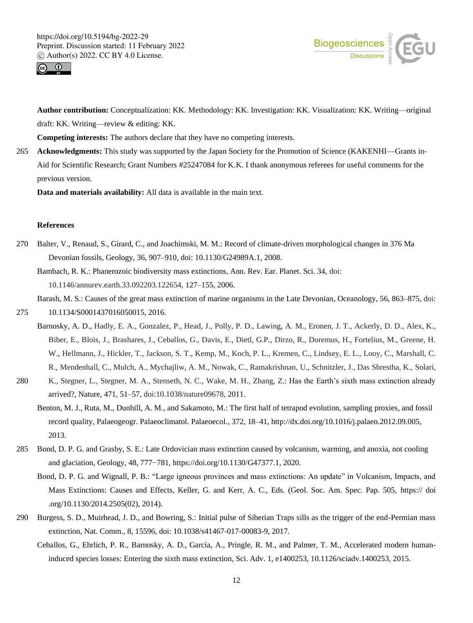



**Author contribution:** Conceptualization: KK. Methodology: KK. Investigation: KK. Visualization: KK. Writing—original draft: KK. Writing—review & editing: KK.

**Competing interests:** The authors declare that they have no competing interests.

265 **Acknowledgments:** This study was supported by the Japan Society for the Promotion of Science (KAKENHI—Grants in-Aid for Scientific Research; Grant Numbers #25247084 for K.K. I thank anonymous referees for useful comments for the previous version.

**Data and materials availability:** All data is available in the main text.

# **References**

270 Balter, V., Renaud, S., Girard, C., and Joachimski, M. M.: Record of climate-driven morphological changes in 376 Ma Devonian fossils, Geology, 36, 907–910, doi: 10.1130/G24989A.1, 2008.

Bambach, R. K.: Phanerozoic biodiversity mass extinctions, Ann. Rev. Ear. Planet. Sci. 34, doi: 10.1146/annurev.earth.33.092203.122654, 127–155, 2006.

Barash, M. S.: Causes of the great mass extinction of marine organisms in the Late Devonian, Oceanology, 56, 863–875, doi:

- 275 10.1134/S0001437016050015, 2016.
	- Barnosky, A. D., Hadly, E. A., Gonzalez, P., Head, J., Polly, P. D., Lawing, A. M., Eronen, J. T., Ackerly, D. D., Alex, K., Biber, E., Blois, J., Brashares, J., Ceballos, G., Davis, E., Dietl, G.P., Dirzo, R., Doremus, H., Fortelius, M., Greene, H. W., Hellmann, J., Hickler, T., Jackson, S. T., Kemp, M., Koch, P. L., Kremen, C., Lindsey, E. L., Looy, C., Marshall, C. R., Mendenhall, C., Mulch, A., Mychajliw, A. M., Nowak, C., Ramakrishnan, U., Schnitzler, J., Das Shrestha, K., Solari,
- 280 K., Stegner, L., Stegner, M. A., Stenseth, N. C., Wake, M. H., Zhang, Z.: Has the Earth's sixth mass extinction already arrived?, Nature, 471, 51–57, doi:10.1038/nature09678, 2011.
	- Benton, M. J., Ruta, M., Dunhill, A. M., and Sakamoto, M.: The first half of tetrapod evolution, sampling proxies, and fossil record quality, Palaeogeogr. Palaeoclimatol. Palaeoecol., 372, 18–41, http://dx.doi.org/10.1016/j.palaeo.2012.09.005, 2013.
- 285 Bond, D. P. G. and Grasby, S. E.: Late Ordovician mass extinction caused by volcanism, warming, and anoxia, not cooling and glaciation, Geology, 48, 777−781, https://doi.org/10.1130/G47377.1, 2020.
	- Bond, D. P. G. and Wignall, P. B.: "Large igneous provinces and mass extinctions: An update" in Volcanism, Impacts, and Mass Extinctions: Causes and Effects, Keller, G. and Kerr, A. C., Eds. (Geol. Soc. Am. Spec. Pap. 505, https:// doi .org/10.1130/2014.2505(02), 2014).
- 290 Burgess, S. D., Muirhead, J. D., and Bowring, S.: Initial pulse of Siberian Traps sills as the trigger of the end-Permian mass extinction, Nat. Comm., 8, 15596, doi: 10.1038/s41467-017-00083-9, 2017.
	- Ceballos, G., Ehrlich, P. R., Barnosky, A. D., García, A., Pringle, R. M., and Palmer, T. M., Accelerated modern humaninduced species losses: Entering the sixth mass extinction, Sci. Adv. 1, e1400253, 10.1126/sciadv.1400253, 2015.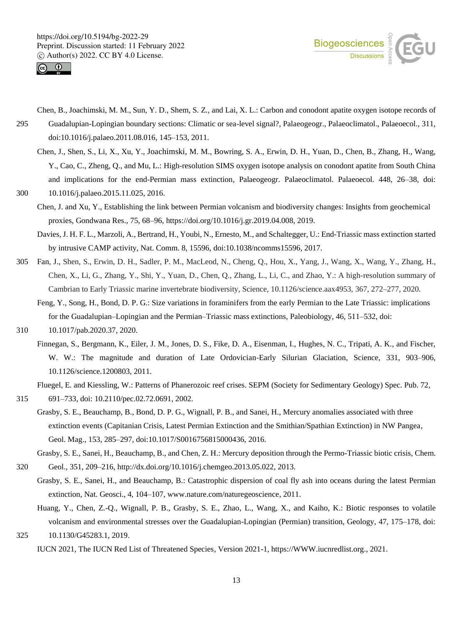



- Chen, B., Joachimski, M. M., Sun, Y. D., Shem, S. Z., and Lai, X. L.: Carbon and conodont apatite oxygen isotope records of 295 Guadalupian-Lopingian boundary sections: Climatic or sea-level signal?, Palaeogeogr., Palaeoclimatol., Palaeoecol., 311, doi:10.1016/j.palaeo.2011.08.016, 145–153, 2011.
- Chen, J., Shen, S., Li, X., Xu, Y., Joachimski, M. M., Bowring, S. A., Erwin, D. H., Yuan, D., Chen, B., Zhang, H., Wang, Y., Cao, C., Zheng, Q., and Mu, L.: High-resolution SIMS oxygen isotope analysis on conodont apatite from South China and implications for the end-Permian mass extinction, Palaeogeogr. Palaeoclimatol. Palaeoecol. 448, 26–38, doi: 300 10.1016/j.palaeo.2015.11.025, 2016.
- - Chen, J. and Xu, Y., Establishing the link between Permian volcanism and biodiversity changes: Insights from geochemical proxies, Gondwana Res., 75, 68–96, https://doi.org/10.1016/j.gr.2019.04.008, 2019.
	- Davies, J. H. F. L., Marzoli, A., Bertrand, H., Youbi, N., Ernesto, M., and Schaltegger, U.: End-Triassic mass extinction started by intrusive CAMP activity, Nat. Comm. 8, 15596, doi:10.1038/ncomms15596, 2017.
- 305 Fan, J., Shen, S., Erwin, D. H., Sadler, P. M., MacLeod, N., Cheng, Q., Hou, X., Yang, J., Wang, X., Wang, Y., Zhang, H., Chen, X., Li, G., Zhang, Y., Shi, Y., Yuan, D., Chen, Q., Zhang, L., Li, C., and Zhao, Y.: A high-resolution summary of Cambrian to Early Triassic marine invertebrate biodiversity, Science, 10.1126/science.aax4953, 367, 272–277, 2020.
	- Feng, Y., Song, H., Bond, D. P. G.: Size variations in foraminifers from the early Permian to the Late Triassic: implications for the Guadalupian–Lopingian and the Permian–Triassic mass extinctions, Paleobiology, 46, 511–532, doi:

310 10.1017/pab.2020.37, 2020.

Finnegan, S., Bergmann, K., Eiler, J. M., Jones, D. S., Fike, D. A., Eisenman, I., Hughes, N. C., Tripati, A. K., and Fischer, W. W.: The magnitude and duration of Late Ordovician-Early Silurian Glaciation, Science, 331, 903–906, 10.1126/science.1200803, 2011.

Fluegel, E. and Kiessling, W.: Patterns of Phanerozoic reef crises. SEPM (Society for Sedimentary Geology) Spec. Pub. 72,

315 691–733, doi: 10.2110/pec.02.72.0691, 2002.

- Grasby, S. E., Beauchamp, B., Bond, D. P. G., Wignall, P. B., and Sanei, H., Mercury anomalies associated with three extinction events (Capitanian Crisis, Latest Permian Extinction and the Smithian/Spathian Extinction) in NW Pangea, Geol. Mag., 153, 285–297, doi:10.1017/S0016756815000436, 2016.
	- Grasby, S. E., Sanei, H., Beauchamp, B., and Chen, Z. H.: Mercury deposition through the Permo-Triassic biotic crisis, Chem.
- 320 Geol., 351, 209–216, http://dx.doi.org/10.1016/j.chemgeo.2013.05.022, 2013. Grasby, S. E., Sanei, H., and Beauchamp, B.: Catastrophic dispersion of coal fly ash into oceans during the latest Permian extinction, Nat. Geosci., 4, 104–107, www.nature.com/naturegeoscience, 2011.
- Huang, Y., Chen, Z.-Q., Wignall, P. B., Grasby, S. E., Zhao, L., Wang, X., and Kaiho, K.: Biotic responses to volatile volcanism and environmental stresses over the Guadalupian-Lopingian (Permian) transition, Geology, 47, 175–178, doi: 325 10.1130/G45283.1, 2019.
	- IUCN 2021, The IUCN Red List of Threatened Species, Version 2021-1, https://WWW.iucnredlist.org., 2021.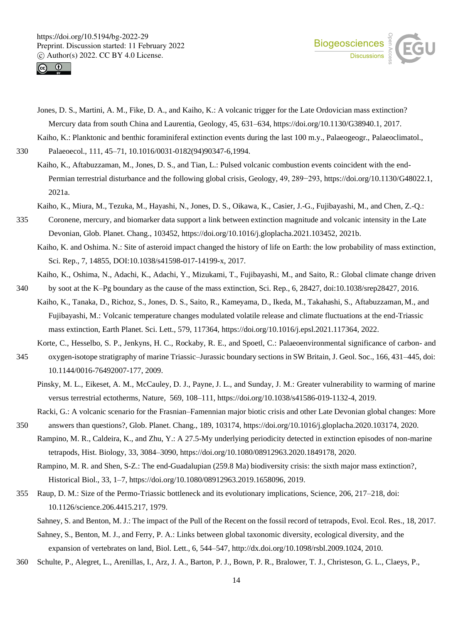



Jones, D. S., Martini, A. M., Fike, D. A., and Kaiho, K.: A volcanic trigger for the Late Ordovician mass extinction? Mercury data from south China and Laurentia, Geology, 45, 631–634, https://doi.org/10.1130/G38940.1, 2017. Kaiho, K.: Planktonic and benthic foraminiferal extinction events during the last 100 m.y., Palaeogeogr., Palaeoclimatol.,

330 Palaeoecol., 111, 45–71, 10.1016/0031-0182(94)90347-6,1994.

- Kaiho, K., Aftabuzzaman, M., Jones, D. S., and Tian, L.: Pulsed volcanic combustion events coincident with the end-Permian terrestrial disturbance and the following global crisis, Geology, 49, 289−293, https://doi.org/10.1130/G48022.1, 2021a.
- Kaiho, K., Miura, M., Tezuka, M., Hayashi, N., Jones, D. S., Oikawa, K., Casier, J.-G., Fujibayashi, M., and Chen, Z.-Q.:
- 335 Coronene, mercury, and biomarker data support a link between extinction magnitude and volcanic intensity in the Late Devonian, Glob. Planet. Chang., 103452, https://doi.org/10.1016/j.gloplacha.2021.103452, 2021b.
	- Kaiho, K. and Oshima. N.: Site of asteroid impact changed the history of life on Earth: the low probability of mass extinction, Sci. Rep., 7, 14855, DOI:10.1038/s41598-017-14199-x, 2017.
- Kaiho, K., Oshima, N., Adachi, K., Adachi, Y., Mizukami, T., Fujibayashi, M., and Saito, R.: Global climate change driven 340 by soot at the K–Pg boundary as the cause of the mass extinction, Sci. Rep., 6, 28427, doi:10.1038/srep28427, 2016.
- Kaiho, K., Tanaka, D., Richoz, S., Jones, D. S., Saito, R., Kameyama, D., Ikeda, M., Takahashi, S., Aftabuzzaman, M., and Fujibayashi, M.: Volcanic temperature changes modulated volatile release and climate fluctuations at the end-Triassic mass extinction, Earth Planet. Sci. Lett., 579, 117364, https://doi.org/10.1016/j.epsl.2021.117364, 2022.
	- Korte, C., Hesselbo, S. P., Jenkyns, H. C., Rockaby, R. E., and Spoetl, C.: Palaeoenvironmental significance of carbon- and
- 345 oxygen-isotope stratigraphy of marine Triassic–Jurassic boundary sections in SW Britain, J. Geol. Soc., 166, 431–445, doi: 10.1144/0016-76492007-177, 2009.
	- Pinsky, M. L., Eikeset, A. M., McCauley, D. J., Payne, J. L., and Sunday, J. M.: Greater vulnerability to warming of marine versus terrestrial ectotherms, Nature, 569, 108–111, https://doi.org/10.1038/s41586-019-1132-4, 2019.

Racki, G.: A volcanic scenario for the Frasnian–Famennian major biotic crisis and other Late Devonian global changes: More

- 350 answers than questions?, Glob. Planet. Chang., 189, 103174, https://doi.org/10.1016/j.gloplacha.2020.103174, 2020. Rampino, M. R., Caldeira, K., and Zhu, Y.: A 27.5-My underlying periodicity detected in extinction episodes of non-marine
	- tetrapods, Hist. Biology, 33, 3084–3090, https://doi.org/10.1080/08912963.2020.1849178, 2020.
		- Rampino, M. R. and Shen, S-Z.: The end-Guadalupian (259.8 Ma) biodiversity crisis: the sixth major mass extinction?, Historical Biol., 33, 1–7, https://doi.org/10.1080/08912963.2019.1658096, 2019.
- 355 Raup, D. M.: Size of the Permo-Triassic bottleneck and its evolutionary implications, Science, 206, 217–218, doi: 10.1126/science.206.4415.217, 1979.
	- Sahney, S. and Benton, M. J.: The impact of the Pull of the Recent on the fossil record of tetrapods, Evol. Ecol. Res., 18, 2017.

Sahney, S., Benton, M. J., and Ferry, P. A.: Links between global taxonomic diversity, ecological diversity, and the expansion of vertebrates on land, Biol. Lett., 6, 544–547, http://dx.doi.org/10.1098/rsbl.2009.1024, 2010.

360 Schulte, P., Alegret, L., Arenillas, I., Arz, J. A., Barton, P. J., Bown, P. R., Bralower, T. J., Christeson, G. L., Claeys, P.,